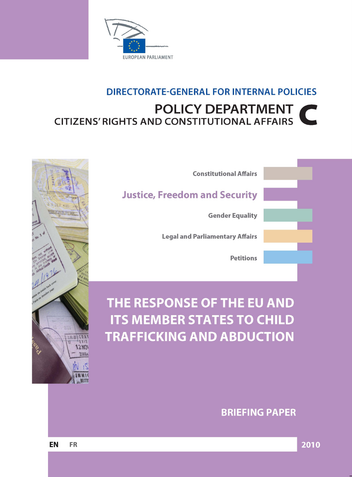

# DIRECTORATE-GENERAL FOR INTERNAL POLICIES **POLICY DEPARTMENT CITIZENS' RIGHTS AND CONSTITUTIONAL AFFAIRS**



# THE RESPONSE OF THE EU AND **ITS MEMBER STATES TO CHILD TRAFFICKING AND ABDUCTION**



**BRIEFING PAPER**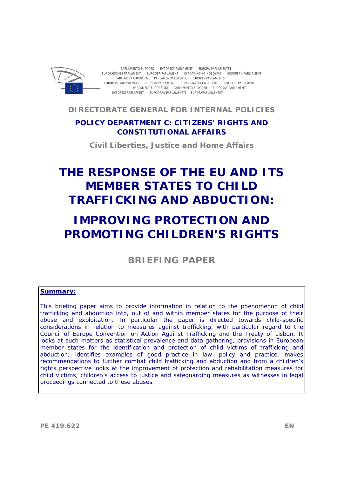

PARLAMENTO EUROPEO EVROPSKÝ PARLAMENT EUROPA-PARLAMENTET EUROPÄISCHES PARLAMENT EUROOPA PARLAMENT EYPOITAÏKO KOINOBOYAIO EUROPEAN PARLIAMENT PARLEMENT EUROPÉEN PARLAMENTO EUROPEO EIROPAS PARLAMENTS EUROPOS PARLAMENTAS EURÓPAI PARLAMENT IL-PARLAMENT EWROPEW EUROPEES PARLEMENT PARLAMENT EUROPEJSKI PARLAMENTO EUROPEU EURÓPSKY PARLAMENT EVROPSKI PARLAMENT EUROOPAN PARLAMENTTI EUROPAPARLAMENTET

**DIRECTORATE GENERAL FOR INTERNAL POLICIES** 

### **POLICY DEPARTMENT C: CITIZENS' RIGHTS AND CONSTITUTIONAL AFFAIRS**

**Civil Liberties, Justice and Home Affairs** 

# **THE RESPONSE OF THE EU AND ITS MEMBER STATES TO CHILD TRAFFICKING AND ABDUCTION:**

# **IMPROVING PROTECTION AND PROMOTING CHILDREN'S RIGHTS**

**BRIEFING PAPER** 

#### **Summary:**

This briefing paper aims to provide information in relation to the phenomenon of child trafficking and abduction into, out of and within member states for the purpose of their abuse and exploitation. In particular the paper is directed towards child-specific considerations in relation to measures against trafficking, with particular regard to the Council of Europe Convention on Action Against Trafficking and the Treaty of Lisbon. It looks at such matters as statistical prevalence and data gathering, provisions in European member states for the identification and protection of child victims of trafficking and abduction; identifies examples of good practice in law, policy and practice; makes recommendations to further combat child trafficking and abduction and from a children's rights perspective looks at the improvement of protection and rehabilitation measures for child victims, children's access to justice and safeguarding measures as witnesses in legal proceedings connected to these abuses.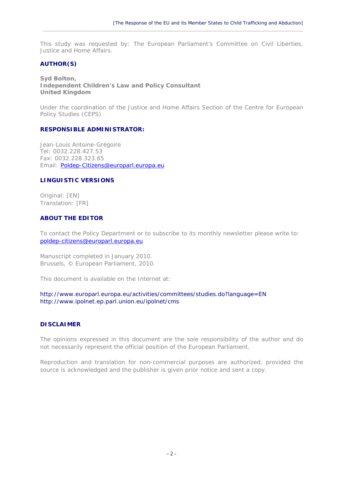This study was requested by: The European Parliament's Committee on Civil Liberties, Justice and Home Affairs.

 $\_$  , and the set of the set of the set of the set of the set of the set of the set of the set of the set of the set of the set of the set of the set of the set of the set of the set of the set of the set of the set of th

#### **AUTHOR(S)**

**Syd Bolton, Independent Children's Law and Policy Consultant United Kingdom** 

*Under the coordination of the Justice and Home Affairs Section of the Centre for European Policy Studies (CEPS)*

#### **RESPONSIBLE ADMINISTRATOR:**

Jean-Louis Antoine-Grégoire Tel: 0032.228.427.53 Fax: 0032.228.323.65 Email: [Poldep-Citizens@europarl.europa.eu](mailto:Poldep-Citizens%20Secretariat@europarl.europa.eu)

#### **LINGUISTIC VERSIONS**

Original: [EN] Translation: [FR]

#### **ABOUT THE EDITOR**

To contact the Policy Department or to subscribe to its monthly newsletter please write to: [poldep-citizens@europarl.europa.eu](mailto:poldep-citizens@europarl.europa.eu)

Manuscript completed in January 2010. Brussels, © European Parliament, 2010.

This document is available on the Internet at:

<http://www.europarl.europa.eu/activities/committees/studies.do?language=EN> <http://www.ipolnet.ep.parl.union.eu/ipolnet/cms>

#### **DISCLAIMER**

The opinions expressed in this document are the sole responsibility of the author and do not necessarily represent the official position of the European Parliament.

Reproduction and translation for non-commercial purposes are authorized, provided the source is acknowledged and the publisher is given prior notice and sent a copy.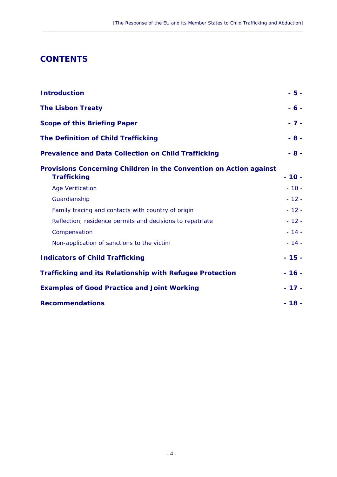# **CONTENTS**

| <b>Introduction</b>                                                                      | $-5 -$  |
|------------------------------------------------------------------------------------------|---------|
| <b>The Lisbon Treaty</b>                                                                 | $-6 -$  |
| <b>Scope of this Briefing Paper</b>                                                      | $-7 -$  |
| <b>The Definition of Child Trafficking</b>                                               | $-8 -$  |
| <b>Prevalence and Data Collection on Child Trafficking</b>                               | $-8 -$  |
| Provisions Concerning Children in the Convention on Action against<br><b>Trafficking</b> | $-10-$  |
| <b>Age Verification</b>                                                                  | $-10 -$ |
| Guardianship                                                                             | $-12-$  |
| Family tracing and contacts with country of origin                                       | $-12-$  |
| Reflection, residence permits and decisions to repatriate                                | $-12-$  |
| Compensation                                                                             | $-14-$  |
| Non-application of sanctions to the victim                                               | $-14-$  |
| <b>Indicators of Child Trafficking</b>                                                   | $-15-$  |
| <b>Trafficking and its Relationship with Refugee Protection</b>                          | $-16-$  |
| <b>Examples of Good Practice and Joint Working</b>                                       | $-17-$  |
| <b>Recommendations</b>                                                                   | $-18-$  |

 $\_$  , and the set of the set of the set of the set of the set of the set of the set of the set of the set of the set of the set of the set of the set of the set of the set of the set of the set of the set of the set of th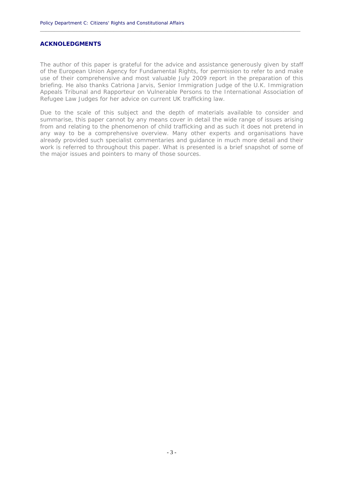#### **ACKNOLEDGMENTS**

The author of this paper is grateful for the advice and assistance generously given by staff of the European Union Agency for Fundamental Rights, for permission to refer to and make use of their comprehensive and most valuable July 2009 report in the preparation of this briefing. He also thanks Catriona Jarvis, Senior Immigration Judge of the U.K. Immigration Appeals Tribunal and Rapporteur on Vulnerable Persons to the International Association of Refugee Law Judges for her advice on current UK trafficking law.

**\_\_\_\_\_\_\_\_\_\_\_\_\_\_\_\_\_\_\_\_\_\_\_\_\_\_\_\_\_\_\_\_\_\_\_\_\_\_\_\_\_\_\_\_\_\_\_\_\_\_\_\_\_\_\_\_\_\_\_\_\_\_\_\_\_\_\_\_\_\_\_\_\_\_\_\_\_\_\_\_\_\_\_\_\_\_\_\_\_\_\_\_**

Due to the scale of this subject and the depth of materials available to consider and summarise, this paper cannot by any means cover in detail the wide range of issues arising from and relating to the phenomenon of child trafficking and as such it does not pretend in any way to be a comprehensive overview. Many other experts and organisations have already provided such specialist commentaries and guidance in much more detail and their work is referred to throughout this paper. What is presented is a brief snapshot of some of the major issues and pointers to many of those sources.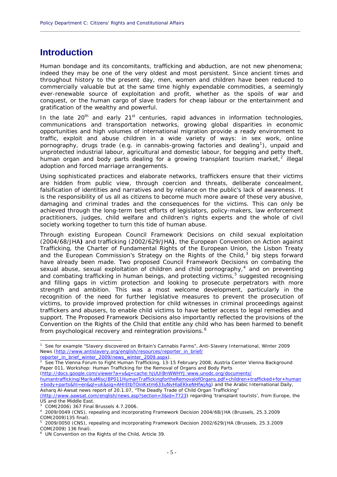# **Introduction**

Human bondage and its concomitants, trafficking and abduction, are not new phenomena; indeed they may be one of the very oldest and most persistent. Since ancient times and throughout history to the present day, men, women and children have been reduced to commercially valuable but at the same time highly expendable commodities, a seemingly ever-renewable source of exploitation and profit, whether as the spoils of war and conquest, or the human cargo of slave traders for cheap labour or the entertainment and gratification of the wealthy and powerful.

**\_\_\_\_\_\_\_\_\_\_\_\_\_\_\_\_\_\_\_\_\_\_\_\_\_\_\_\_\_\_\_\_\_\_\_\_\_\_\_\_\_\_\_\_\_\_\_\_\_\_\_\_\_\_\_\_\_\_\_\_\_\_\_\_\_\_\_\_\_\_\_\_\_\_\_\_\_\_\_\_\_\_\_\_\_\_\_\_\_\_\_\_**

In the late  $20^{th}$  and early  $21^{st}$  centuries, rapid advances in information technologies, communications and transportation networks, growing global disparities in economic opportunities and high volumes of international migration provide a ready environment to traffic, exploit and abuse children in a wide variety of ways: in sex work, online pornography, drugs trade (e.g. in cannabis-growing factories and dealing<sup>[1](#page-6-0)</sup>), unpaid and unprotected industrial labour, agricultural and domestic labour, for begging and petty theft, human organ and body parts dealing for a growing transplant tourism market,  $2$  illegal adoption and forced marriage arrangements.

Using sophisticated practices and elaborate networks, traffickers ensure that their victims are hidden from public view, through coercion and threats, deliberate concealment, falsification of identities and narratives and by reliance on the public's lack of awareness. It is the responsibility of us all as citizens to become much more aware of these very abusive, damaging and criminal trades and the consequences for the victims. This can only be achieved through the long-term best efforts of legislators, policy-makers, law enforcement practitioners, judges, child welfare and children's rights experts and the whole of civil society working together to turn this tide of human abuse.

Through existing European Council Framework Decisions on child sexual exploitation (2004/68/JHA**)** and trafficking (2002/629/JHA**)**, the European Convention on Action against Trafficking, the Charter of Fundamental Rights of the European Union, the Lisbon Treaty and the European Commission's Strategy on the Rights of the Child, $3$  big steps forward have already been made. Two proposed Council Framework Decisions on combating the sexual abuse, sexual exploitation of children and child pornography, $4$  and on preventing and combating trafficking in human beings, and protecting victims,<sup>[5](#page-6-4)</sup> suggested recognising and filling gaps in victim protection and looking to prosecute perpetrators with more strength and ambition. This was a most welcome development, particularly in the recognition of the need for further legislative measures to prevent the prosecution of victims, to provide improved protection for child witnesses in criminal proceedings against traffickers and abusers, to enable child victims to have better access to legal remedies and support. The Proposed Framework Decisions also importantly reflected the provisions of the Convention on the Rights of the Child that entitle any child who has been harmed to benefit from psychological recovery and reintegration provisions.<sup>[6](#page-6-5)</sup>

reporter\_in\_brief\_winter\_2009/news\_winter\_2009.aspx).

(http://docs.google.com/viewer?a=v&q=cache:hjUUIBnWWHYJ:www.unodc.org/documents/

1

<span id="page-6-0"></span><sup>1</sup> See for example "Slavery discovered on Britain's Cannabis Farms", *Anti-Slavery International*, Winter 2009 News (http://www.antislavery.org/english/resources/reporter\_in\_brief/

<span id="page-6-1"></span>See The Vienna Forum to Fight Human Trafficking, 13-15 February 2008, Austria Center Vienna Background Paper 011, Workshop: Human Trafficking for the Removal of Organs and Body Parts

humantrafficking/MarikaMisc/BP011HumanTraffickingfortheRemovalofOrgans.pdf+children+trafficked+for+human +body+parts&hl=en&gl=uk&sig=AHIEtbTOinKxtm633uNvHlaEKkeNHfwjAg) and the Arabic International Daily, Asharq Al-Awsat news report of 20.1.07, "The Deadly Trade of Child Organ Trafficking"

<sup>(</sup>http://www.aawsat.com/english/news.asp?section=3&id=7723) regarding 'transplant tourists', from Europe, the US and the Middle East.

<span id="page-6-2"></span><sup>3</sup> COM(2006) 367 Final Brussels 4.7.2006.

<span id="page-6-3"></span><sup>4</sup> 2009/0049 (CNS), repealing and incorporating Framework Decision 2004/68/JHA (Brussels, 25.3.2009 COM(2009)135 final).

<span id="page-6-4"></span><sup>5</sup> 2009/0050 (CNS), repealing and incorporating Framework Decision 2002/629/JHA (Brussels, 25.3.2009 COM(2009) 136 final).

<span id="page-6-5"></span><sup>6</sup> UN Convention on the Rights of the Child, Article 39.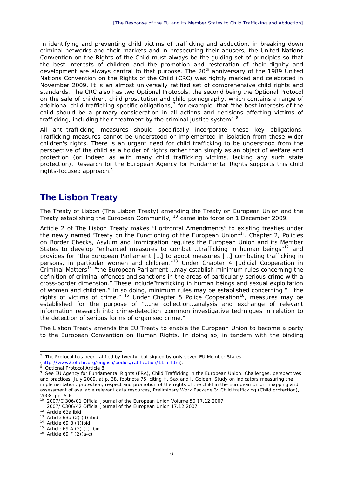In identifying and preventing child victims of trafficking and abduction, in breaking down criminal networks and their markets and in prosecuting their abusers, the United Nations Convention on the Rights of the Child must always be the guiding set of principles so that the best interests of children and the promotion and restoration of their dignity and development are always central to that purpose. The 20<sup>th</sup> anniversary of the 1989 United Nations Convention on the Rights of the Child (CRC) was rightly marked and celebrated in November 2009. It is an almost universally ratified set of comprehensive child rights and standards. The CRC also has two Optional Protocols, the second being the *Optional Protocol on the sale of children, child prostitution and child pornography*, which contains a range of additional child trafficking specific obligations,<sup>[7](#page-7-0)</sup> for example, that "the best interests of the child should be a primary consideration in all actions and decisions affecting victims of trafficking, including their treatment by the criminal justice system".<sup>[8](#page-7-1)</sup>

 $\_$  , and the set of the set of the set of the set of the set of the set of the set of the set of the set of the set of the set of the set of the set of the set of the set of the set of the set of the set of the set of th

All anti-trafficking measures should specifically incorporate these key obligations. Trafficking measures cannot be understood or implemented in isolation from these wider children's rights. There is an urgent need for child trafficking to be understood from the perspective of the child as a holder of rights rather than simply as an object of welfare and protection (or indeed as with many child trafficking victims, lacking any such state protection). Research for the European Agency for Fundamental Rights supports this child rights-focused approach.<sup>[9](#page-7-2)</sup>

# **The Lisbon Treaty**

The Treaty of Lisbon (The Lisbon Treaty) amending the Treaty on European Union and the Treaty establishing the European Community, <sup>[10](#page-7-3)</sup> came into force on 1 December 2009.

Article 2 of The Lisbon Treaty makes "Horizontal Amendments" to existing treaties under the newly named 'Treaty on the Functioning of the European Union<sup>[11](#page-7-4)</sup>'. Chapter 2, Policies on Border Checks, Asylum and Immigration requires the European Union and its Member States to develop "enhanced *measures to combat …trafficking in human beings*"[12](#page-7-5) and provides for "*the European Parliament* […] *to adopt measures* [*…*] *combating trafficking in persons, in particular women and children*."[13](#page-7-6) Under Chapter 4 Judicial Cooperation in Criminal Matters[14](#page-7-7) *"the European Parliament …may establish minimum rules concerning the definition of criminal offences and sanctions in the areas of particularly serious crime with a cross-border dimension."* These include*"trafficking in human beings and sexual exploitation of women and children.*" In so doing, minimum rules may be established concerning *"… the*  rights of victims of crime.<sup>" [15](#page-7-8)</sup> Under Chapter 5 Police Cooperation<sup>[16](#page-7-9)</sup>, measures may be established for the purpose of "*…the collection…analysis and exchange of relevant information research into crime-detection…common investigative techniques in relation to the detection of serious forms of organised crime."* 

The Lisbon Treaty amends the EU Treaty to enable the European Union to become a party to the European Convention on Human Rights. In doing so, in tandem with the binding

<span id="page-7-0"></span><sup>-</sup> $7$  The Protocol has been ratified by twenty, but signed by only seven EU Member States (http://www2.ohchr.org/english/bodies/ratification/11\_c.htm).

<sup>8</sup>

<span id="page-7-2"></span><span id="page-7-1"></span><sup>&</sup>lt;sup>8</sup> Optional Protocol Article 8.<br><sup>9</sup> See EU Agency for Fundamental Rights (FRA), *Child Trafficking in the European Union: Challenges, perspectives and practices*, July 2009, at p. 38, footnote 75, citing H. Sax and I. Golden, Study on indicators measuring the implementation, protection, respect and promotion of the rights of the child in the European Union, mapping and assessment of available relevant data resources, Preliminary Work Package 3: Child trafficking (Child protection), 2008, pp. 5-6.<br><sup>10</sup> 2007/C 306/01 Official Journal of the European Union Volume 50 17.12.2007

<span id="page-7-5"></span><span id="page-7-4"></span><span id="page-7-3"></span><sup>&</sup>lt;sup>11</sup> 2007/ C306/42 Official Journal of the European Union 17.12.2007<br><sup>12</sup> Article 63a ibid<br><sup>13</sup> Article 63a (2) (d) ibid<br><sup>14</sup> Article 69 B (1)ibid<br><sup>15</sup> Article 69 A (2) (c) ibid<br><sup>16</sup> Article 69 F (2)(a-c)

<span id="page-7-6"></span>

<span id="page-7-7"></span>

<span id="page-7-9"></span><span id="page-7-8"></span>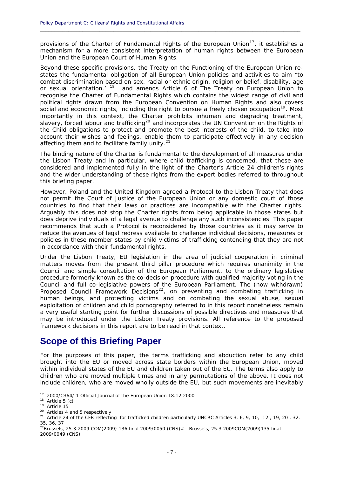provisions of the Charter of Fundamental Rights of the European Union<sup>[17](#page-8-0)</sup>, it establishes a mechanism for a more consistent interpretation of human rights between the European Union and the European Court of Human Rights.

**\_\_\_\_\_\_\_\_\_\_\_\_\_\_\_\_\_\_\_\_\_\_\_\_\_\_\_\_\_\_\_\_\_\_\_\_\_\_\_\_\_\_\_\_\_\_\_\_\_\_\_\_\_\_\_\_\_\_\_\_\_\_\_\_\_\_\_\_\_\_\_\_\_\_\_\_\_\_\_\_\_\_\_\_\_\_\_\_\_\_\_\_**

Beyond these specific provisions, the Treaty on the Functioning of the European Union restates the fundamental obligation of all European Union policies and activities to aim "*to combat discrimination based on sex, racial or ethnic origin, religion or belief, disability, age or sexual orientation.'* [18](#page-8-1) and amends Article 6 of The Treaty on European Union to recognise the Charter of Fundamental Rights which contains the widest range of civil and political rights drawn from the European Convention on Human Rights and also covers social and economic rights, including the right to pursue a freely chosen occupation<sup>[19](#page-8-2)</sup>. Most importantly in this context, the Charter prohibits inhuman and degrading treatment, slavery, forced labour and trafficking<sup>[20](#page-8-3)</sup> and incorporates the UN Convention on the Rights of the Child obligations to protect and promote the best interests of the child, to take into account their wishes and feelings, enable them to participate effectively in any decision affecting them and to facilitate family unity.<sup>[21](#page-8-4)</sup>

The binding nature of the Charter is fundamental to the development of all measures under the Lisbon Treaty and in particular, where child trafficking is concerned, that these are considered and implemented fully in the light of the Charter's Article 24 children's rights and the wider understanding of these rights from the expert bodies referred to throughout this briefing paper.

However, Poland and the United Kingdom agreed a Protocol to the Lisbon Treaty that does not permit the Court of Justice of the European Union or any domestic court of those countries to find that their laws or practices are incompatible with the Charter rights. Arguably this does not stop the Charter rights from being applicable in those states but does deprive individuals of a legal avenue to challenge any such inconsistencies. This paper recommends that such a Protocol is reconsidered by those countries as it may serve to reduce the avenues of legal redress available to challenge individual decisions, measures or policies in these member states by child victims of trafficking contending that they are not in accordance with their fundamental rights.

Under the Lisbon Treaty, EU legislation in the area of judicial cooperation in criminal matters moves from the present third pillar procedure which requires unanimity in the Council and simple consultation of the European Parliament, to the ordinary legislative procedure formerly known as the co-decision procedure with qualified majority voting in the Council and full co-legislative powers of the European Parliament. The (now withdrawn) Proposed Council Framework Decisions<sup>[22](#page-8-5)</sup>, on preventing and combating trafficking in *human beings, and protecting victims* and *on combating the sexual abuse, sexual exploitation of children and child pornography* referred to in this report nonetheless remain a very useful starting point for further discussions of possible directives and measures that may be introduced under the Lisbon Treaty provisions. All reference to the proposed framework decisions in this report are to be read in that context.

## **Scope of this Briefing Paper**

For the purposes of this paper, the terms trafficking and abduction refer to any child brought into the EU or moved across state borders within the European Union, moved within individual states of the EU and children taken out of the EU. The terms also apply to children who are moved multiple times and in any permutations of the above. It does not include children, who are moved wholly outside the EU, but such movements are inevitably

<span id="page-8-0"></span><sup>&</sup>lt;sup>17</sup> 2000/C364/ 1 Official Journal of the European Union 18.12.2000

<span id="page-8-4"></span><span id="page-8-3"></span>

<span id="page-8-2"></span><span id="page-8-1"></span><sup>&</sup>lt;sup>18</sup> Article 5 (c)<br><sup>19</sup> Article 15<br><sup>20</sup> Articles 4 and 5 respectively<br><sup>21</sup> Article 24 of the CFR reflecting for trafficked children particularly UNCRC Articles 3, 6, 9, 10, 12, 19, 20, 32, 35, 36, 37

<span id="page-8-5"></span><sup>22</sup>Brussels, 25.3.2009 COM(2009) 136 final 2009/0050 (CNS)# Brussels, 25.3.2009COM(2009)135 final 2009/0049 (CNS)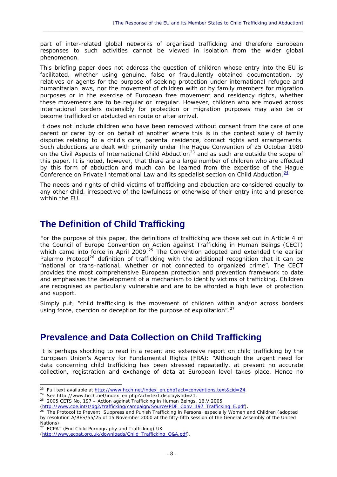part of inter-related global networks of organised trafficking and therefore European responses to such activities cannot be viewed in isolation from the wider global phenomenon.

 $\_$  , and the set of the set of the set of the set of the set of the set of the set of the set of the set of the set of the set of the set of the set of the set of the set of the set of the set of the set of the set of th

This briefing paper does not address the question of children whose entry into the EU is facilitated, whether using genuine, false or fraudulently obtained documentation, by relatives or agents for the purpose of seeking protection under international refugee and humanitarian laws, nor the movement of children with or by family members for migration purposes or in the exercise of European free movement and residency rights, whether these movements are to be regular or irregular. However, children who are moved across international borders ostensibly for protection or migration purposes may also be or become trafficked or abducted en route or after arrival.

It does not include children who have been removed without consent from the care of one parent or carer by or on behalf of another where this is in the context solely of family disputes relating to a child's care, parental residence, contact rights and arrangements. Such abductions are dealt with primarily under *The Hague Convention of 25 October 1980 on the Civil Aspects of International Child Abduction*[23](#page-9-0) and as such are outside the scope of this paper. It is noted, however, that there are a large number of children who are affected by this form of abduction and much can be learned from the expertise of the Hague Conference on Private International Law and its specialist section on Child Abduction.<sup>[24](#page-9-1)</sup>

The needs and rights of child victims of trafficking and abduction are considered equally to any other child, irrespective of the lawfulness or otherwise of their entry into and presence within the EU.

# **The Definition of Child Trafficking**

For the purpose of this paper, the definitions of trafficking are those set out in Article 4 of the *Council of Europe Convention on Action against Trafficking in Human Beings* (CECT) which came into force in April 2009.<sup>[25](#page-9-2)</sup> The Convention adopted and extended the earlier Palermo Protocol<sup>[26](#page-9-3)</sup> definition of trafficking with the additional recognition that it can be "national or trans-national, whether or not connected to organized crime". The CECT provides the most comprehensive European protection and prevention framework to date and emphasises the development of a mechanism to identify victims of trafficking. Children are recognised as particularly vulnerable and are to be afforded a high level of protection and support.

Simply put, *"child trafficking is the movement of children within and/or across borders using force, coercion or deception for the purpose of exploitation".*[27](#page-9-4)

## **Prevalence and Data Collection on Child Trafficking**

It is perhaps shocking to read in a recent and extensive report on child trafficking by the European Union's Agency for Fundamental Rights (FRA): *"Although the urgent need for data concerning child trafficking has been stressed repeatedly, at present no accurate collection, registration and exchange of data at European level takes place. Hence no* 

<span id="page-9-1"></span><span id="page-9-0"></span><sup>&</sup>lt;sup>23</sup> Full text available at <u>http://www.hcch.net/index\_en.php?act=conventions.text&cid=24.</u><br><sup>24</sup> See http://www.hcch.net/index\_en.php?act=text.display&tid=21.<br><sup>25</sup> 2005 CETS No. 197 – Action against Trafficking in Human B

<span id="page-9-3"></span><span id="page-9-2"></span>

<sup>&</sup>lt;sup>26</sup> The Protocol to Prevent, Suppress and Punish Trafficking in Persons, especially Women and Children (adopted by resolution A/RES/55/25 of 15 November 2000 at the fifty-fifth session of the General Assembly of the United Nations).

<sup>&</sup>lt;sup>27</sup> ECPAT (End Child Pornography and Trafficking) UK

<span id="page-9-4"></span><sup>(</sup>http://www.ecpat.org.uk/downloads/Child\_Trafficking\_Q&A.pdf).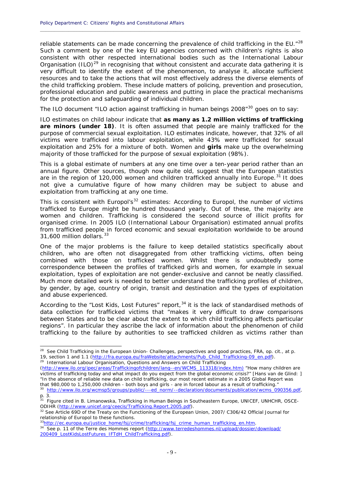*reliable statements can be made concerning the prevalence of child trafficking in the EU."*[28](#page-10-0) Such a comment by one of the key EU agencies concerned with children's rights is also consistent with other respected international bodies such as the International Labour Organisation (ILO)*[29](#page-10-1)* in recognising that without consistent and accurate data gathering it is very difficult to identify the extent of the phenomenon, to analyse it, allocate sufficient resources and to take the actions that will most effectively address the diverse elements of the child trafficking problem. These include matters of policing, prevention and prosecution, professional education and public awareness and putting in place the practical mechanisms for the protection and safeguarding of individual children.

**\_\_\_\_\_\_\_\_\_\_\_\_\_\_\_\_\_\_\_\_\_\_\_\_\_\_\_\_\_\_\_\_\_\_\_\_\_\_\_\_\_\_\_\_\_\_\_\_\_\_\_\_\_\_\_\_\_\_\_\_\_\_\_\_\_\_\_\_\_\_\_\_\_\_\_\_\_\_\_\_\_\_\_\_\_\_\_\_\_\_\_\_**

The ILO document "ILO action against trafficking in human beings 2008"<sup>[30](#page-10-2)</sup> goes on to say:

*ILO estimates on child labour indicate that as many as 1.2 million victims of trafficking are minors (under 18). It is often assumed that people are mainly trafficked for the purpose of commercial sexual exploitation. ILO estimates indicate, however, that 32% of all victims were trafficked into labour exploitation, while 43% were trafficked for sexual exploitation and 25% for a mixture of both. Women and girls make up the overwhelming majority of those trafficked for the purpose of sexual exploitation (98%).* 

This is a global estimate of numbers at any one time over a ten-year period rather than an annual figure. Other sources, though now quite old, suggest that the European statistics are in the region of 120,000 women and children trafficked annually into Europe.<sup>[31](#page-10-3)</sup> It does not give a cumulative figure of how many children may be subject to abuse and exploitation from trafficking at any one time.

This is consistent with Europol's<sup>[32](#page-10-4)</sup> estimates: According to Europol, *the number of victims trafficked to Europe might be hundred thousand yearly. Out of these, the majority are women and children. Trafficking is considered the second source of illicit profits for organised crime. In 2005 ILO (International Labour Organisation) estimated annual profits from trafficked people in forced economic and sexual exploitation worldwide to be around 31,600 million dollars*. [33](#page-10-5)

One of the major problems is the failure to keep detailed statistics specifically about children, who are often not disaggregated from other trafficking victims, often being combined with those on trafficked women. Whilst there is undoubtedly some correspondence between the profiles of trafficked girls and women, for example in sexual exploitation, types of exploitation are not gender-exclusive and cannot be neatly classified. Much more detailed work is needed to better understand the trafficking profiles of children, by gender, by age, country of origin, transit and destination and the types of exploitation and abuse experienced.

According to the "Lost Kids, Lost Futures" report,<sup>[34](#page-10-6)</sup> it is the lack of standardised methods of data collection for trafficked victims that "makes it very difficult to draw comparisons between States and to be clear about the extent to which child trafficking affects particular regions". In particular they ascribe the lack of information about the phenomenon of child trafficking to the failure by authorities to see trafficked children as victims rather than

1

<span id="page-10-1"></span>(http://www.ilo.org/ipec/areas/Traffickingofchildren/lang--en/WCMS\_113318/index.htm) "How many children are victims of trafficking today and what impact do you expect from the global economic crisis?" [Hans van de Glind: ] "In the absence of reliable new data on child trafficking, our most recent estimate in a 2005 Global Report was that 980,000 to 1,250,000 children - both boys and girls - are in forced labour as a result of trafficking." 30 http://www.ilo.org/wcmsp5/groups/public/---ed\_norm/--declaration/documents/publication/wcms\_090356.pdf,

<span id="page-10-0"></span><sup>&</sup>lt;sup>28</sup> See *Child Trafficking in the European Union- Challenges, perspectives and good* practices, FRA, op. cit., at p. 19, section 1 and 1.1 (http://fra.europa.eu/fraWebsite/attachments/Pub\_Child\_Trafficking-09\_en.pdf). <sup>29</sup> International Labour Organisation, *Questions and Answers on Child Trafficking* 

<span id="page-10-3"></span><span id="page-10-2"></span>p. 3. 31 Figure cited in B. Limanowska, *Trafficking in Human Beings in Southeastern Europe*, UNICEF, UNHCHR, OSCE-

<span id="page-10-4"></span>ODIHR (http://www.unicef.org/ceecis/Trafficking.Report.2005.pdf).<br><sup>32</sup> See Article 69D of the Treaty on the Functioning of the European Union, 2007/ C306/42 Official Journal for<br>relationship of Europol to these functions.

<span id="page-10-6"></span><span id="page-10-5"></span>

<sup>&</sup>lt;sup>33</sup>http://ec.europa.eu/justice\_home/fsj/crime/trafficking/fsj\_crime\_human\_trafficking\_en.html<br><sup>34</sup> See p. 11 of the Terre des Hommes report (http://www.terredeshommes.nl/upload/dossier/download/ 200409\_LostKidsLostFutures\_IFTdH\_ChildTrafficking.pdf).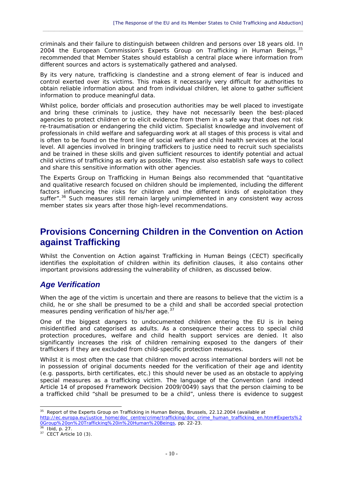criminals and their failure to distinguish between children and persons over 18 years old. In 2004 the European Commission's Experts Group on Trafficking in Human Beings, [35](#page-11-0) recommended that Member States should establish a central place where information from different sources and actors is systematically gathered and analysed.

 $\_$  , and the set of the set of the set of the set of the set of the set of the set of the set of the set of the set of the set of the set of the set of the set of the set of the set of the set of the set of the set of th

By its very nature, trafficking is clandestine and a strong element of fear is induced and control exerted over its victims. This makes it necessarily very difficult for authorities to obtain reliable information about and from individual children, let alone to gather sufficient information to produce meaningful data.

Whilst police, border officials and prosecution authorities may be well placed to investigate and bring these criminals to justice, they have not necessarily been the best-placed agencies to protect children or to elicit evidence from them in a safe way that does not risk re-traumatisation or endangering the child victim. Specialist knowledge and involvement of professionals in child welfare and safeguarding work at all stages of this process is vital and is often to be found on the front line of social welfare and child health services at the local level. All agencies involved in bringing traffickers to justice need to recruit such specialists and be trained in these skills and given sufficient resources to identify potential and actual child victims of trafficking as early as possible. They must also establish safe ways to collect and share this sensitive information with other agencies.

The Experts Group on Trafficking in Human Beings also recommended that "quantitative and qualitative research focused on children should be implemented, including the different factors influencing the risks for children and the different kinds of exploitation they suffer".<sup>[36](#page-11-1)</sup> Such measures still remain largely unimplemented in any consistent way across member states six years after those high-level recommendations.

# **Provisions Concerning Children in the Convention on Action against Trafficking**

Whilst the Convention on Action against Trafficking in Human Beings (CECT) specifically identifies the exploitation of children within its definition clauses, it also contains other important provisions addressing the vulnerability of children, as discussed below.

### *Age Verification*

*When the age of the victim is uncertain and there are reasons to believe that the victim is a child, he or she shall be presumed to be a child and shall be accorded special protection measures pending verification of his/her age.*[37](#page-11-2)

One of the biggest dangers to undocumented children entering the EU is in being misidentified and categorised as adults. As a consequence their access to special child protection procedures, welfare and child health support services are denied. It also significantly increases the risk of children remaining exposed to the dangers of their traffickers if they are excluded from child-specific protection measures.

Whilst it is most often the case that children moved across international borders will not be in possession of original documents needed for the verification of their age and identity (e.g. passports, birth certificates, etc.) this should never be used as an obstacle to applying special measures as a trafficking victim. The language of the Convention (and indeed Article 14 of proposed Framework Decision 2009/0049) says that the person claiming to be a trafficked child "*shall be presumed to be a* child", unless there is evidence to suggest

<span id="page-11-0"></span><sup>1</sup> 35 *Report of the Experts Group on Trafficking in Human Beings*, Brussels, 22.12.2004 (available at

http://ec.europa.eu/justice\_home/doc\_centre/crime/trafficking/doc\_crime\_human\_trafficking\_en.htm#Experts%2 0Group%20on%20Trafficking%20in%20Human%20Beings, pp. 22-23.<br><sup>36</sup> Ibid, p. 27.<br><sup>37</sup> CECT Article 10 (3).

<span id="page-11-2"></span><span id="page-11-1"></span>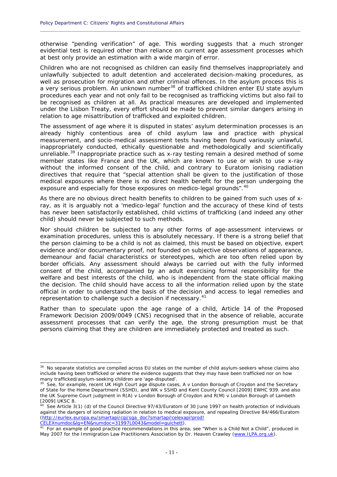otherwise "*pending verification*" of age. This wording suggests that a much stronger evidential test is required other than reliance on current age assessment processes which at best only provide an estimation with a wide margin of error.

**\_\_\_\_\_\_\_\_\_\_\_\_\_\_\_\_\_\_\_\_\_\_\_\_\_\_\_\_\_\_\_\_\_\_\_\_\_\_\_\_\_\_\_\_\_\_\_\_\_\_\_\_\_\_\_\_\_\_\_\_\_\_\_\_\_\_\_\_\_\_\_\_\_\_\_\_\_\_\_\_\_\_\_\_\_\_\_\_\_\_\_\_**

Children who are not recognised as children can easily find themselves inappropriately and unlawfully subjected to adult detention and accelerated decision-making procedures, as well as prosecution for migration and other criminal offences. In the asylum process this is a very serious problem. An unknown number<sup>[38](#page-12-0)</sup> of trafficked children enter EU state asylum procedures each year and not only fail to be recognised as trafficking victims but also fail to be recognised as children at all. As practical measures are developed and implemented under the Lisbon Treaty, every effort should be made to prevent similar dangers arising in relation to age misattribution of trafficked and exploited children.

The assessment of age where it is disputed in states' asylum determination processes is an already highly contentious area of child asylum law and practice with physical measurement, and socio-medical assessment tests having been found variously unlawful, inappropriately conducted, ethically questionable and methodologically and scientifically unreliable.<sup>[39](#page-12-1)</sup> Inappropriate practice such as x-ray testing remain a desired method of some member states like France and the UK, which are known to use or wish to use x-ray without the informed consent of the child, and contrary to Euratom ionising radiation directives that require that "*special attention shall be given to the justification of those medical exposures where there is no direct health benefit for the person undergoing the exposure and especially for those exposures on medico-legal grounds*".[40](#page-12-2)

As there are no obvious direct health benefits to children to be gained from such uses of xray, as it is arguably not a 'medico-legal' function and the accuracy of these kind of tests has never been satisfactorily established, child victims of trafficking (and indeed any other child) should never be subjected to such methods.

Nor should children be subjected to any other forms of age-assessment interviews or examination procedures, unless this is absolutely necessary. If there is a strong belief that the person claiming to be a child is not as claimed, this must be based on objective, expert evidence and/or documentary proof, not founded on subjective observations of appearance, demeanour and facial characteristics or stereotypes, which are too often relied upon by border officials. Any assessment should always be carried out with the fully informed consent of the child, accompanied by an adult exercising formal responsibility for the welfare and best interests of the child, who is independent from the state official making the decision. The child should have access to all the information relied upon by the state official in order to understand the basis of the decision and access to legal remedies and representation to challenge such a decision if necessary.<sup>[41](#page-12-3)</sup>

Rather than to speculate upon the age range of a child, Article 14 of the Proposed Framework Decision 2009/0049 (CNS) recognised that in the absence of reliable, accurate assessment processes that can verify the age, the strong presumption must be that persons claiming that they are children are immediately protected and treated as such.

<span id="page-12-0"></span><sup>&</sup>lt;sup>38</sup> No separate statistics are compiled across EU states on the number of child asylum-seekers whose claims also include having been trafficked or where the evidence suggests that they may have been trafficked nor on how many trafficked/asylum-seeking children are 'age-disputed'.

<span id="page-12-1"></span><sup>&</sup>lt;sup>39</sup> See, for example, recent UK High Court age dispute cases, A v London Borough of Croydon and the Secretary of State for the Home Department (SSHD), and WK v SSHD and Kent County Council [2009] EWHC 939. and also the UK Supreme Court judgment in R(A) v London Borough of Croydon and R(M) v London Borough of Lambeth [2009] UKSC 8.

<span id="page-12-2"></span><sup>&</sup>lt;sup>40</sup> See Article 3(1) (d) of the Council Directive 97/43/Euratom of 30 June 1997 on health protection of individuals against the dangers of ionizing radiation in relation to medical exposure, and repealing Directive 84/466/Euratom (http://eurlex.europa.eu/smartapi/cgi/sga\_doc?smartapi!celexapi!prod!

<span id="page-12-3"></span>CELEXnumdoc&lg=EN&numdoc=31997L0043&model=guichett).<br>
41 For an example of good practice recommendations in this area, see "When is a Child Not a Child", produced in May 2007 for the Immigration Law Practitioners Association by Dr. Heaven Crawley (www.ILPA.org.uk).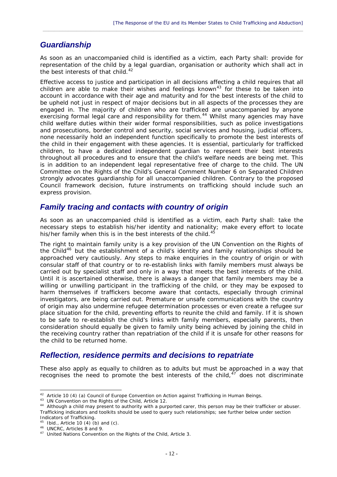### *Guardianship*

*As soon as an unaccompanied child is identified as a victim, each Party shall: provide for representation of the child by a legal guardian, organisation or authority which shall act in the best interests of that child.*[42](#page-13-0)

 $\_$  , and the set of the set of the set of the set of the set of the set of the set of the set of the set of the set of the set of the set of the set of the set of the set of the set of the set of the set of the set of th

Effective access to justice and participation in all decisions affecting a child requires that all children are able to make their wishes and feelings known<sup>[43](#page-13-1)</sup> for these to be taken into account in accordance with their age and maturity and for the best interests of the child to be upheld not just in respect of major decisions but in all aspects of the processes they are engaged in. The majority of children who are trafficked are unaccompanied by anyone exercising formal legal care and responsibility for them.<sup>[44](#page-13-2)</sup> Whilst many agencies may have child welfare duties within their wider formal responsibilities, such as police investigations and prosecutions, border control and security, social services and housing, judicial officers, none necessarily hold an independent function specifically to promote the best interests of the child in their engagement with these agencies. It is essential, particularly for trafficked children, to have a dedicated independent guardian to represent their best interests throughout all procedures and to ensure that the child's welfare needs are being met. This is in addition to an independent legal representative free of charge to the child. The UN Committee on the Rights of the Child's General Comment Number 6 on Separated Children strongly advocates guardianship for all unaccompanied children. Contrary to the proposed Council framework decision, future instruments on trafficking should include such an express provision.

#### *Family tracing and contacts with country of origin*

*As soon as an unaccompanied child is identified as a victim, each Party shall: take the necessary steps to establish his/her identity and nationality; make every effort to locate his/her family when this is in the best interests of the child.*[45](#page-13-3)

The right to maintain family unity is a key provision of the UN Convention on the Rights of the Child<sup>[46](#page-13-4)</sup> but the establishment of a child's identity and family relationships should be approached very cautiously. Any steps to make enquiries in the country of origin or with consular staff of that country or to re-establish links with family members must always be carried out by specialist staff and only in a way that meets the best interests of the child. Until it is ascertained otherwise, there is always a danger that family members may be a willing or unwilling participant in the trafficking of the child, or they may be exposed to harm themselves if traffickers become aware that contacts, especially through criminal investigators, are being carried out. Premature or unsafe communications with the country of origin may also undermine refugee determination processes or even create a *refugee sur place* situation for the child, preventing efforts to reunite the child and family. If it is shown to be safe to re-establish the child's links with family members, especially parents, then consideration should equally be given to family unity being achieved by joining the child in the receiving country rather than repatriation of the child if it is unsafe for other reasons for the child to be returned home.

#### *Reflection, residence permits and decisions to repatriate*

These also apply as equally to children as to adults but must be approached in a way that recognises the need to promote the best interests of the child,  $47$  does not discriminate

<sup>-</sup>

<span id="page-13-2"></span>

<span id="page-13-1"></span><span id="page-13-0"></span><sup>&</sup>lt;sup>42</sup> Article 10 (4) (a) Council of Europe Convention on Action against Trafficking in Human Beings.<br><sup>43</sup> UN Convention on the Rights of the Child, Article 12.<br><sup>44</sup> Although a child may present to authority with a purporte Trafficking indicators and toolkits should be used to query such relationships; see further below under section Indicators of Trafficking.

<span id="page-13-5"></span><span id="page-13-4"></span>

<span id="page-13-3"></span><sup>&</sup>lt;sup>45</sup> Ibid., Article 10 (4) (b) and (c).<br><sup>46</sup> UNCRC, Articles 8 and 9.<br><sup>47</sup> United Nations Convention on the Rights of the Child, Article 3.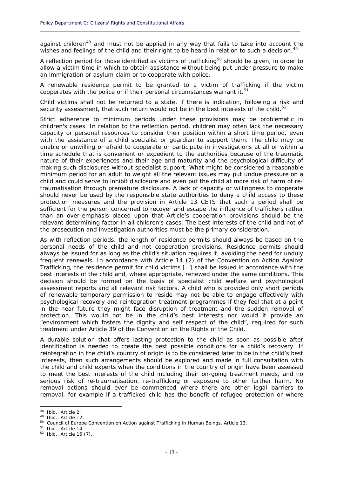against children<sup>[48](#page-14-0)</sup> and must not be applied in any way that fails to take into account the wishes and feelings of the child and their right to be heard in relation to such a decision.<sup>[49](#page-14-1)</sup>

**\_\_\_\_\_\_\_\_\_\_\_\_\_\_\_\_\_\_\_\_\_\_\_\_\_\_\_\_\_\_\_\_\_\_\_\_\_\_\_\_\_\_\_\_\_\_\_\_\_\_\_\_\_\_\_\_\_\_\_\_\_\_\_\_\_\_\_\_\_\_\_\_\_\_\_\_\_\_\_\_\_\_\_\_\_\_\_\_\_\_\_\_**

A reflection period for those identified as victims of trafficking<sup>[50](#page-14-2)</sup> should be given, in order to allow a victim time in which to obtain assistance without being put under pressure to make an immigration or asylum claim or to cooperate with police.

*A renewable residence permit to be granted to a victim of trafficking if the victim cooperates with the police or if their personal circumstances warrant it.*[51](#page-14-3)

*Child victims shall not be returned to a state, if there is indication, following a risk and security assessment, that such return would not be in the best interests of the child.*[52](#page-14-4)

Strict adherence to minimum periods under these provisions may be problematic in children's cases. In relation to the reflection period, children may often lack the necessary capacity or personal resources to consider their position within a short time period, even with the assistance of a child specialist or guardian to support them. The child may be unable or unwilling or afraid to cooperate or participate in investigations at all or within a time schedule that is convenient or expedient to the authorities because of the traumatic nature of their experiences and their age and maturity and the psychological difficulty of making such disclosures without specialist support. What might be considered a reasonable minimum period for an adult to weight all the relevant issues may put undue pressure on a child and could serve to inhibit disclosure and even put the child at more risk of harm of retraumatisation through premature disclosure. A lack of capacity or willingness to cooperate should never be used by the responsible state authorities to deny a child access to these protection measures and the provision in Article 13 CETS that *such a period shall be sufficient for the person concerned to recover and escape the influence of traffickers* rather than an over-emphasis placed upon that Article's cooperation provisions should be the relevant determining factor in all children's cases. The best interests of the child and not of the prosecution and investigation authorities must be the primary consideration.

As with reflection periods, the length of residence permits should always be based on the personal needs of the child and not cooperation provisions. Residence permits should always be issued for as long as the child's situation requires it, avoiding the need for unduly frequent renewals. In accordance with Article 14 (2) of the Convention on Action Against Trafficking, t*he residence permit for child victims […] shall be issued in accordance with the*  best interests of the child and, where appropriate, renewed under the same conditions. This decision should be formed on the basis of specialist child welfare and psychological assessment reports and all relevant risk factors. A child who is provided only short periods of renewable temporary permission to reside may not be able to engage effectively with psychological recovery and reintegration treatment programmes if they feel that at a point in the near future they might face disruption of treatment and the sudden removal of protection. This would not be in the child's best interests nor would it provide an "*environment which fosters the dignity and self respect of the child*", required for such treatment under Article 39 of the Convention on the Rights of the Child.

A durable solution that offers lasting protection to the child as soon as possible after identification is needed to create the best possible conditions for a child's recovery. If reintegration in the child's country of origin is to be considered later to be in the child's best interests, then such arrangements should be explored and made in full consultation with the child and child experts when the conditions in the country of origin have been assessed to meet the best interests of the child including their on-going treatment needs, and no serious risk of re-traumatisation, re-trafficking or exposure to other further harm. No removal actions should ever be commenced where there are other legal barriers to removal, for example if a trafficked child has the benefit of refugee protection or where

<span id="page-14-0"></span><sup>&</sup>lt;sup>48</sup> Ibid., Article 2.

<span id="page-14-2"></span><span id="page-14-1"></span><sup>&</sup>lt;sup>49</sup> Ibid., Article 12.<br><sup>50</sup> Council of Europe Convention on Action against Trafficking in Human Beings, Article 13.<br><sup>51</sup> Ibid., Article 14.<br><sup>52</sup> Ibid., Article 16 (7).

<span id="page-14-4"></span><span id="page-14-3"></span>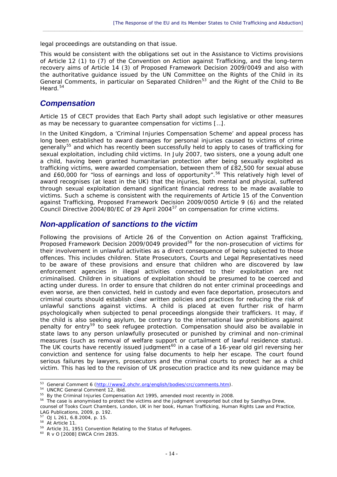legal proceedings are outstanding on that issue.

This would be consistent with the obligations set out in the Assistance to Victims provisions of Article 12 (1) to (7) of the Convention on Action against Trafficking, and the long-term recovery aims of Article 14 (3) of Proposed Framework Decision 2009/0049 and also with the authoritative guidance issued by the UN Committee on the Rights of the Child in its General Comments, in particular on Separated Children<sup>[53](#page-15-0)</sup> and the Right of the Child to Be Heard.<sup>[54](#page-15-1)</sup>

 $\_$  , and the set of the set of the set of the set of the set of the set of the set of the set of the set of the set of the set of the set of the set of the set of the set of the set of the set of the set of the set of th

#### *Compensation*

Article 15 of CECT provides that *Each Party shall adopt such legislative or other measures as may be necessary to guarantee compensation for victims […].* 

In the United Kingdom, a 'Criminal Injuries Compensation Scheme' and appeal process has long been established to award damages for personal injuries caused to victims of crime generally<sup>[55](#page-15-2)</sup> and which has recently been successfully held to apply to cases of trafficking for sexual exploitation, including child victims. In July 2007, two sisters, one a young adult one a child, having been granted humanitarian protection after being sexually exploited as trafficking victims, were awarded compensation, between them of £82,500 for sexual abuse and £60,000 for "loss of earnings and loss of opportunity".<sup>[56](#page-15-3)</sup> This relatively high level of award recognises (at least in the UK) that the injuries, both mental and physical, suffered through sexual exploitation demand significant financial redress to be made available to victims. Such a scheme is consistent with the requirements of Article 15 of the Convention against Trafficking, Proposed Framework Decision 2009/0050 Article 9 (6) and the related Council Directive 2004/80/EC of 29 April 2004[57](#page-15-4) on compensation for crime victims.

#### *Non-application of sanctions to the victim*

Following the provisions of Article 26 of the Convention on Action against Trafficking, Proposed Framework Decision 2009/0049 provided<sup>[58](#page-15-5)</sup> for the non-prosecution of victims for their involvement in unlawful activities as a direct consequence of being subjected to those offences. This includes children. State Prosecutors, Courts and Legal Representatives need to be aware of these provisions and ensure that children who are discovered by law enforcement agencies in illegal activities connected to their exploitation are not criminalised. Children in situations of exploitation should be presumed to be coerced and acting under duress. In order to ensure that children do not enter criminal proceedings and even worse, are then convicted, held in custody and even face deportation, prosecutors and criminal courts should establish clear written policies and practices for reducing the risk of unlawful sanctions against victims. A child is placed at even further risk of harm psychologically when subjected to penal proceedings alongside their traffickers. It may, if the child is also seeking asylum, be contrary to the international law prohibitions against penalty for entry<sup>[59](#page-15-6)</sup> to seek refugee protection. Compensation should also be available in state laws to any person unlawfully prosecuted or punished by criminal and non-criminal measures (such as removal of welfare support or curtailment of lawful residence status). The UK courts have recently issued judgment<sup>[60](#page-15-7)</sup> in a case of a 16-year old girl reversing her conviction and sentence for using false documents to help her escape. The court found serious failures by lawyers, prosecutors and the criminal courts to protect her as a child victim. This has led to the revision of UK prosecution practice and its new guidance may be

<span id="page-15-0"></span><sup>&</sup>lt;sup>53</sup> General Comment 6 (http://www2.ohchr.org/english/bodies/crc/comments.htm).

<span id="page-15-2"></span><span id="page-15-1"></span> $54$  UNCRC General Comment 12, ibid.<br> $55$  By the Criminal Injuries Compensation Act 1995, amended most recently in 2008.<br> $56$  The case is anonymised to protect the victims and the iudament unreported but cited by Sandhya

<span id="page-15-3"></span>counsel of Tooks Court Chambers, London, UK in her book, *Human Trafficking, Human Rights Law and Practice*, LAG Publications, 2009, p. 192.<br><sup>57</sup> OJ L 261, 6.8.2004, p. 15.

<span id="page-15-6"></span><span id="page-15-5"></span>

<span id="page-15-4"></span><sup>&</sup>lt;sup>58</sup> At Article 11.<br><sup>59</sup> Article 31, 1951 Convention Relating to the Status of Refugees.<br><sup>60</sup> R v O [2008] EWCA Crim 2835.

<span id="page-15-7"></span>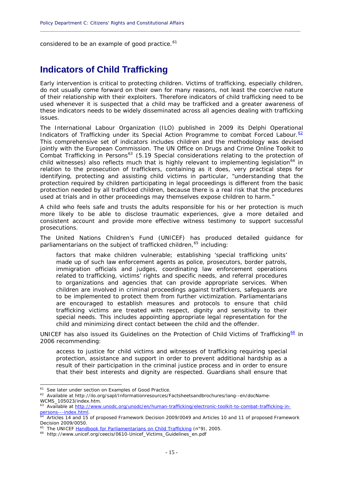considered to be an example of good practice.<sup>[61](#page-16-0)</sup>

## **Indicators of Child Trafficking**

Early intervention is critical to protecting children. Victims of trafficking, especially children, do not usually come forward on their own for many reasons, not least the coercive nature of their relationship with their exploiters. Therefore indicators of child trafficking need to be used whenever it is suspected that a child may be trafficked and a greater awareness of these indicators needs to be widely disseminated across all agencies dealing with trafficking issues.

**\_\_\_\_\_\_\_\_\_\_\_\_\_\_\_\_\_\_\_\_\_\_\_\_\_\_\_\_\_\_\_\_\_\_\_\_\_\_\_\_\_\_\_\_\_\_\_\_\_\_\_\_\_\_\_\_\_\_\_\_\_\_\_\_\_\_\_\_\_\_\_\_\_\_\_\_\_\_\_\_\_\_\_\_\_\_\_\_\_\_\_\_**

The International Labour Organization (ILO) published in 2009 its *Delphi Operational Indicators of Trafficking under its Special Action Programme to combat Forced Labour.*[62](#page-16-1) This comprehensive set of indicators includes children and the methodology was devised jointly with the European Commission. The UN Office on Drugs and Crime Online Toolkit to form, which the Latepean communities of the protection of combat Trafficking in Persons<sup>[63](#page-16-2)</sup> (5.19 Special considerations relating to the protection of *child witnesses*) also reflects much that is highly relevant to implementing legislation<sup>[64](#page-16-3)</sup> in relation to the prosecution of traffickers, containing as it does, very practical steps for identifying, protecting and assisting child victims in particular, "*understanding that the protection required by children participating in legal proceedings is different from the basic protection needed by all trafficked children, because there is a real risk that the procedures used at trials and in other proceedings may themselves expose children to harm."* 

A child who feels safe and trusts the adults responsible for his or her protection is much more likely to be able to disclose traumatic experiences, give a more detailed and consistent account and provide more effective witness testimony to support successful prosecutions.

The United Nations Children's Fund (UNICEF) has produced detailed guidance for parliamentarians on the subject of trafficked children.<sup>[65](#page-16-4)</sup> including:

factors that make children vulnerable; establishing 'special trafficking units' made up of such law enforcement agents as police, prosecutors, border patrols, immigration officials and judges, coordinating law enforcement operations related to trafficking, victims' rights and specific needs, and referral procedures to organizations and agencies that can provide appropriate services. When children are involved in criminal proceedings against traffickers, safeguards are to be implemented to protect them from further victimization. Parliamentarians are encouraged to establish measures and protocols to ensure that child trafficking victims are treated with respect, dignity and sensitivity to their special needs. This includes appointing appropriate legal representation for the child and minimizing direct contact between the child and the offender.

UNICEF has also issued its *Guidelines on the Protection of Child Victims of Trafficking*<sup>[66](#page-16-5)</sup> in 2006 recommending:

access to justice for child victims and witnesses of trafficking requiring special protection, assistance and support in order to prevent additional hardship as a result of their participation in the criminal justice process and in order to ensure that their best interests and dignity are respected. Guardians shall ensure that

<span id="page-16-1"></span><span id="page-16-0"></span><sup>&</sup>lt;sup>61</sup> See later under section on Examples of Good Practice.<br><sup>62</sup> Available at http://ilo.org/sapl/Informationresources/Factsheetsandbrochures/lang--en/docName-WCMS\_105023/index.htm.

<span id="page-16-2"></span><sup>&</sup>lt;sup>63</sup> Available at http://www.unodc.org/unodc/en/human-trafficking/electronic-toolkit-to-combat-trafficking-in-<br>persons---index.html.

<span id="page-16-3"></span> $64$  Articles 14 and 15 of proposed Framework Decision 2009/0049 and Articles 10 and 11 of proposed Framework Decision 2009/0050.

<span id="page-16-5"></span><span id="page-16-4"></span><sup>&</sup>lt;sup>65</sup> The UNICEF **Handbook for Parliamentarians on Child Trafficking (n°9), 2005.** 66 http://www.unicef.org/ceecis/0610-Unicef\_Victims\_Guidelines\_en.pdf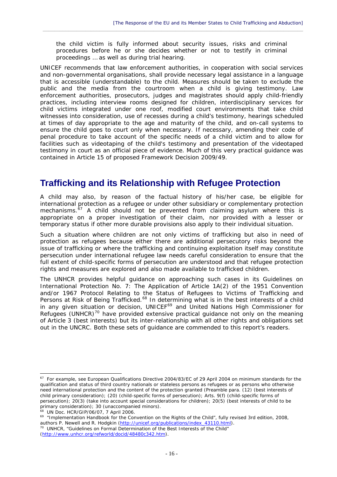the child victim is fully informed about security issues, risks and criminal procedures before he or she decides whether or not to testify in criminal proceedings … as well as during trial hearing.

 $\_$  , and the set of the set of the set of the set of the set of the set of the set of the set of the set of the set of the set of the set of the set of the set of the set of the set of the set of the set of the set of th

UNICEF recommends that law enforcement authorities, in cooperation with social services and non-governmental organisations, shall provide necessary legal assistance in a language that is accessible (understandable) to the child. Measures should be taken to exclude the public and the media from the courtroom when a child is giving testimony. Law enforcement authorities, prosecutors, judges and magistrates should apply child-friendly practices, including interview rooms designed for children, interdisciplinary services for child victims integrated under one roof, modified court environments that take child witnesses into consideration, use of recesses during a child's testimony, hearings scheduled at times of day appropriate to the age and maturity of the child, and on-call systems to ensure the child goes to court only when necessary. If necessary, amending their code of penal procedure to take account of the specific needs of a child victim and to allow for facilities such as videotaping of the child's testimony and presentation of the videotaped testimony in court as an official piece of evidence. Much of this very practical guidance was contained in Article 15 of proposed Framework Decision 2009/49.

# **Trafficking and its Relationship with Refugee Protection**

A child may also, by reason of the factual history of his/her case, be eligible for international protection as a refugee or under other subsidiary or complementary protection mechanisms. $67$  A child should not be prevented from claiming asylum where this is appropriate on a proper investigation of their claim, nor provided with a lesser or temporary status if other more durable provisions also apply to their individual situation.

Such a situation where children are not only victims of trafficking but also in need of protection as refugees because either there are additional persecutory risks beyond the issue of trafficking or where the trafficking and continuing exploitation itself may constitute persecution under international refugee law needs careful consideration to ensure that the full extent of child-specific forms of persecution are understood and that refugee protection rights and measures are explored and also made available to trafficked children.

The UNHCR provides helpful guidance on approaching such cases in its Guidelines on International Protection No. 7: The Application of Article 1A(2) of the 1951 Convention and/or 1967 Protocol Relating to the Status of Refugees to Victims of Trafficking and Persons at Risk of Being Trafficked.<sup>[68](#page-17-1)</sup> In determining what is in the best interests of a child in any given situation or decision, UNICEF<sup>[69](#page-17-2)</sup> and United Nations High Commissioner for Refugees (UNHCR)<sup>[70](#page-17-3)</sup> have provided extensive practical guidance not only on the meaning of Article 3 (best interests) but its inter-relationship with all other rights and obligations set out in the UNCRC. Both these sets of guidance are commended to this report's readers.

<span id="page-17-1"></span>

-

<span id="page-17-3"></span>(http://www.unhcr.org/refworld/docid/48480c342.htm).

<span id="page-17-0"></span> $67$  For example, see European Qualifications Directive 2004/83/EC of 29 April 2004 on minimum standards for the qualification and status of third country nationals or stateless persons as refugees or as persons who otherwise need international protection and the content of the protection granted (Preamble para. (12) (best interests of child primary consideration); (20) (child-specific forms of persecution); Arts. 9(f) (child-specific forms of persecution); 20(3) (take into account special considerations for children); 20(5) (best interests of child to be primary consideration); 30 (unaccompanied minors).<br><sup>68</sup> UN Doc. HCR/GIP/06/07, 7 April 2006.

<span id="page-17-2"></span><sup>&</sup>lt;sup>69</sup> "Implementation Handbook for the Convention on the Rights of the Child", fully revised 3rd edition, 2008, authors P. Newell and R. Hodgkin (http://unicef.org/publications/index\_43110.html). <sup>70</sup> UNHCR, "Guidelines on Formal Determination of the Best Interests of the Child"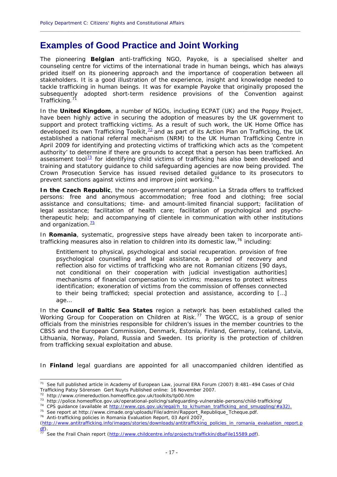# **Examples of Good Practice and Joint Working**

The pioneering **Belgian** anti-trafficking NGO, Payoke, is a specialised shelter and counseling centre for victims of the international trade in human beings, which has always prided itself on its pioneering approach and the importance of cooperation between all stakeholders. It is a good illustration of the experience, insight and knowledge needed to tackle trafficking in human beings. It was for example Payoke that originally proposed the subsequently adopted short-term residence provisions of the Convention against Trafficking.<sup>7</sup>

**\_\_\_\_\_\_\_\_\_\_\_\_\_\_\_\_\_\_\_\_\_\_\_\_\_\_\_\_\_\_\_\_\_\_\_\_\_\_\_\_\_\_\_\_\_\_\_\_\_\_\_\_\_\_\_\_\_\_\_\_\_\_\_\_\_\_\_\_\_\_\_\_\_\_\_\_\_\_\_\_\_\_\_\_\_\_\_\_\_\_\_\_**

In the **United Kingdom**, a number of NGOs, including ECPAT (UK) and the Poppy Project, have been highly active in securing the adoption of measures by the UK government to support and protect trafficking victims. As a result of such work, the UK Home Office has developed its own Trafficking Toolkit,  $\frac{72}{2}$  $\frac{72}{2}$  $\frac{72}{2}$  and as part of its Action Plan on Trafficking, the UK established a national referral mechanism (NRM) to the UK Human Trafficking Centre in April 2009 for identifying and protecting victims of trafficking which acts as the 'competent authority' to determine if there are grounds to accept that a person has been trafficked. An assessment tool<sup>[73](#page-18-2)</sup> for identifying child victims of trafficking has also been developed and training and statutory guidance to child safeguarding agencies are now being provided. The Crown Prosecution Service has issued revised detailed guidance to its prosecutors to prevent sanctions against victims and improve joint working.<sup>[74](#page-18-3)</sup>

**In the Czech Republic**, the non-governmental organisation La Strada offers to trafficked persons: free and anonymous accommodation; free food and clothing; free social assistance and consultations; time- and amount-limited financial support; facilitation of legal assistance; facilitation of health care; facilitation of psychological and psychotherapeutic help; and accompanying of clientele in communication with other institutions and organization. $\frac{75}{ }$  $\frac{75}{ }$  $\frac{75}{ }$ 

In **Romania**, systematic, progressive steps have already been taken to incorporate antitrafficking measures also in relation to children into its domestic law,  $76$  including:

*Entitlement to physical, psychological and social recuperation. provision of free psychological counselling and legal assistance, a period of recovery and reflection also for victims of trafficking who are not Romanian citizens [90 days, not conditional on their cooperation with judicial investigation authorities] mechanisms of financial compensation to victims; measures to protect witness identification; exoneration of victims from the commission of offenses connected to their being trafficked; special protection and assistance, according to […] age…* 

In the **Council of Baltic Sea States** region a network has been established called the Working Group for Cooperation on Children at Risk.<sup>[77](#page-18-6)</sup> The WGCC, is a group of senior officials from the ministries responsible for children's issues in the member countries to the CBSS and the European Commission, Denmark, Estonia, Finland, Germany, Iceland, Latvia, Lithuania, Norway, Poland, Russia and Sweden. Its priority is the protection of children from trafficking sexual exploitation and abuse.

In **Finland** legal guardians are appointed for all unaccompanied children identified as

<span id="page-18-0"></span><sup>&</sup>lt;sup>71</sup> See full published article in Academy of European Law, journal ERA Forum (2007) 8:481-494 Cases of Child Trafficking Patsy Sörensen Gert Nuyts Published online: 16 November 2007.

<span id="page-18-3"></span><span id="page-18-2"></span>

<span id="page-18-1"></span><sup>&</sup>lt;sup>72</sup> http://www.crimereduction.homeoffice.gov.uk/toolkits/tp00.htm<br><sup>73</sup> http://police.homeoffice.gov.uk/operational-policing/safeguarding-vulnerable-persons/child-trafficking/<br><sup>74</sup> CPS guidance (available at <u>http://www.c</u>

<span id="page-18-4"></span>

<span id="page-18-5"></span>

<sup>(</sup>http://www.antitrafficking.info/images/stories/downloads/antitrafficking\_policies\_in\_romania\_evaluation\_report.p

<span id="page-18-6"></span>See the Frail Chain report (http://www.childcentre.info/projects/traffickin/dbaFile15589.pdf).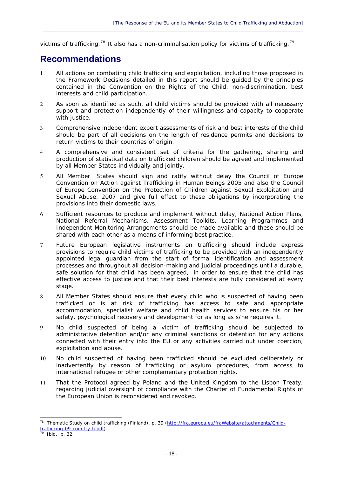victims of trafficking.<sup>[78](#page-19-0)</sup> It also has a non-criminalisation policy for victims of trafficking.<sup>[79](#page-19-1)</sup>

 $\_$  , and the set of the set of the set of the set of the set of the set of the set of the set of the set of the set of the set of the set of the set of the set of the set of the set of the set of the set of the set of th

# **Recommendations**

- 1 All actions on combating child trafficking and exploitation, including those proposed in the Framework Decisions detailed in this report should be guided by the principles contained in the Convention on the Rights of the Child: non-discrimination, best interests and child participation.
- 2 As soon as identified as such, all child victims should be provided with all necessary support and protection independently of their willingness and capacity to cooperate with justice.
- 3 Comprehensive independent expert assessments of risk and best interests of the child should be part of all decisions on the length of residence permits and decisions to return victims to their countries of origin.
- 4 A comprehensive and consistent set of criteria for the gathering, sharing and production of statistical data on trafficked children should be agreed and implemented by all Member States individually and jointly.
- 5 All Member States should sign and ratify without delay the Council of Europe Convention on Action against Trafficking in Human Beings 2005 and also the Council of Europe Convention on the Protection of Children against Sexual Exploitation and Sexual Abuse, 2007 and give full effect to these obligations by incorporating the provisions into their domestic laws.
- 6 Sufficient resources to produce and implement without delay, National Action Plans, National Referral Mechanisms, Assessment Toolkits, Learning Programmes and Independent Monitoring Arrangements should be made available and these should be shared with each other as a means of informing best practice.
- 7 Future European legislative instruments on trafficking should include express provisions to require child victims of trafficking to be provided with an independently appointed legal guardian from the start of formal identification and assessment processes and throughout all decision-making and judicial proceedings until a durable, safe solution for that child has been agreed, in order to ensure that the child has effective access to justice and that their best interests are fully considered at every stage.
- 8 All Member States should ensure that every child who is suspected of having been trafficked or is at risk of trafficking has access to safe and appropriate accommodation, specialist welfare and child health services to ensure his or her safety, psychological recovery and development for as long as s/he requires it.
- 9 No child suspected of being a victim of trafficking should be subjected to administrative detention and/or any criminal sanctions or detention for any actions connected with their entry into the EU or any activities carried out under coercion, exploitation and abuse.
- 10 No child suspected of having been trafficked should be excluded deliberately or inadvertently by reason of trafficking or asylum procedures, from access to international refugee or other complementary protection rights.
- 11 That the Protocol agreed by Poland and the United Kingdom to the Lisbon Treaty, regarding judicial oversight of compliance with the Charter of Fundamental Rights of the European Union is reconsidered and revoked.

1

<span id="page-19-0"></span><sup>&</sup>lt;sup>78</sup> Thematic Study on child trafficking (Finland), p. 39 (http://fra.europa.eu/fraWebsite/attachments/Childtrafficking-09-country-fi.pdf). 79 Ibid., p. 32.

<span id="page-19-1"></span>